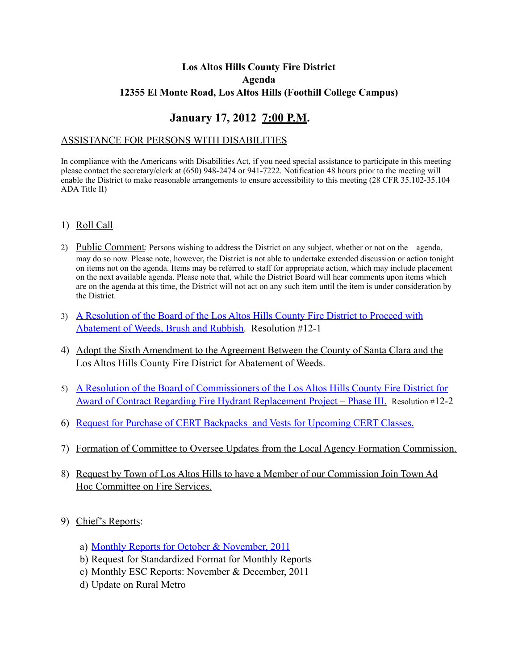# **Los Altos Hills County Fire District Agenda 12355 El Monte Road, Los Altos Hills (Foothill College Campus)**

# **January 17, 2012 7:00 P.M.**

#### ASSISTANCE FOR PERSONS WITH DISABILITIES

In compliance with the Americans with Disabilities Act, if you need special assistance to participate in this meeting please contact the secretary/clerk at (650) 948-2474 or 941-7222. Notification 48 hours prior to the meeting will enable the District to make reasonable arrangements to ensure accessibility to this meeting (28 CFR 35.102-35.104 ADA Title II)

- 1) Roll Call.
- 2) Public Comment: Persons wishing to address the District on any subject, whether or not on the agenda, may do so now. Please note, however, the District is not able to undertake extended discussion or action tonight on items not on the agenda. Items may be referred to staff for appropriate action, which may include placement on the next available agenda. Please note that, while the District Board will hear comments upon items which are on the agenda at this time, the District will not act on any such item until the item is under consideration by the District.
- 3) [A Resolution of the Board of the Los Altos Hills County Fire District to Proceed with](http://www.lahcfd.org/documents/meetings/2012/201201/20120117_LAHCDF_AI03.pdf)  [Abatement of Weeds, Brush and Rubbish](http://www.lahcfd.org/documents/meetings/2012/201201/20120117_LAHCDF_AI03.pdf). Resolution #12-1
- 4) Adopt the Sixth Amendment to the Agreement Between the County of Santa Clara and the Los Altos Hills County Fire District for Abatement of Weeds.
- 5) [A Resolution of the Board of Commissioners of the Los Altos Hills County Fire District for](http://www.lahcfd.org/documents/meetings/2012/201201/20120117_LAHCDF_AI05.pdf)  [Award of Contract Regarding Fire Hydrant Replacement Project – Phase III.](http://www.lahcfd.org/documents/meetings/2012/201201/20120117_LAHCDF_AI05.pdf) Resolution #12-2
- 6) [Request for Purchase of CERT Backpacks and Vests for Upcoming CERT Classes.](http://www.lahcfd.org/documents/meetings/2012/201201/20120117_LAHCDF_AI06.pdf)
- 7) Formation of Committee to Oversee Updates from the Local Agency Formation Commission.
- 8) Request by Town of Los Altos Hills to have a Member of our Commission Join Town Ad Hoc Committee on Fire Services.
- 9) Chief's Reports:
	- a) [Monthly Reports for October & November, 2011](http://www.lahcfd.org/documents/meetings/2012/201201/20120117_LAHCDF_AI09.pdf)
	- b) Request for Standardized Format for Monthly Reports
	- c) Monthly ESC Reports: November & December, 2011
	- d) Update on Rural Metro